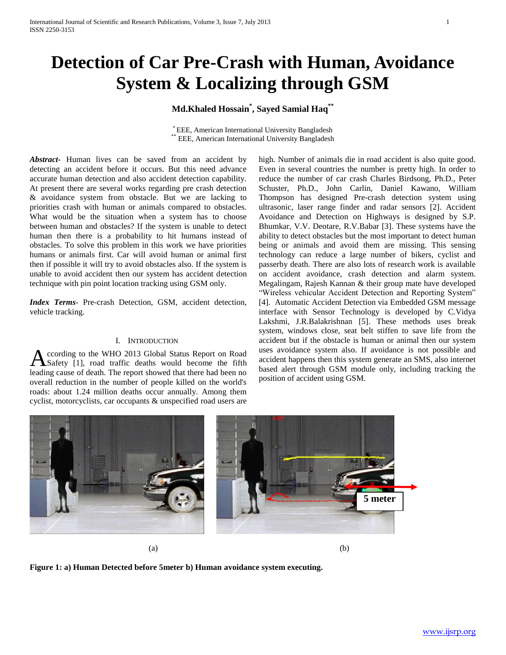# **Detection of Car Pre-Crash with Human, Avoidance System & Localizing through GSM**

# **Md.Khaled Hossain\* , Sayed Samial Haq\*\***

\* EEE, American International University Bangladesh EEE, American International University Bangladesh

*Abstract***-** Human lives can be saved from an accident by detecting an accident before it occurs. But this need advance accurate human detection and also accident detection capability. At present there are several works regarding pre crash detection & avoidance system from obstacle. But we are lacking to priorities crash with human or animals compared to obstacles. What would be the situation when a system has to choose between human and obstacles? If the system is unable to detect human then there is a probability to hit humans instead of obstacles. To solve this problem in this work we have priorities humans or animals first. Car will avoid human or animal first then if possible it will try to avoid obstacles also. If the system is unable to avoid accident then our system has accident detection technique with pin point location tracking using GSM only.

*Index Terms*- Pre-crash Detection, GSM, accident detection, vehicle tracking.

# I. INTRODUCTION

ccording to the WHO 2013 Global Status Report on Road Safety [1], road traffic deaths would become the fifth **A** ccording to the WHO 2013 Global Status Report on Road Safety [1], road traffic deaths would become the fifth leading cause of death. The report showed that there had been no overall reduction in the number of people killed on the world's roads: about 1.24 million deaths occur annually. Among them cyclist, motorcyclists, car occupants & unspecified road users are

high. Number of animals die in road accident is also quite good. Even in several countries the number is pretty high. In order to reduce the number of car crash Charles Birdsong, Ph.D., Peter Schuster, Ph.D., John Carlin, Daniel Kawano, William Thompson has designed Pre-crash detection system using ultrasonic, laser range finder and radar sensors [2]. Accident Avoidance and Detection on Highways is designed by S.P. Bhumkar, V.V. Deotare, R.V.Babar [3]. These systems have the ability to detect obstacles but the most important to detect human being or animals and avoid them are missing. This sensing technology can reduce a large number of bikers, cyclist and passerby death. There are also lots of research work is available on accident avoidance, crash detection and alarm system. Megalingam, Rajesh Kannan & their group mate have developed "Wireless vehicular Accident Detection and Reporting System" [4]. Automatic Accident Detection via Embedded GSM message interface with Sensor Technology is developed by C.Vidya Lakshmi, J.R.Balakrishnan [5]. These methods uses break system, windows close, seat belt stiffen to save life from the accident but if the obstacle is human or animal then our system uses avoidance system also. If avoidance is not possible and accident happens then this system generate an SMS, also internet based alert through GSM module only, including tracking the position of accident using GSM.



**Figure 1: a) Human Detected before 5meter b) Human avoidance system executing.**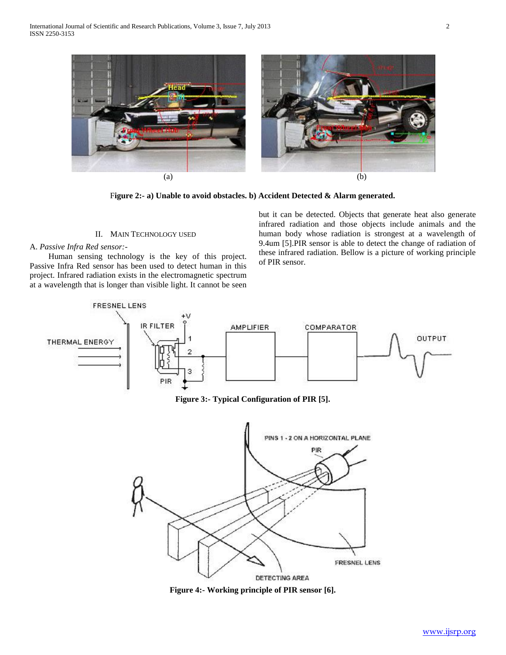

F**igure 2:- a) Unable to avoid obstacles. b) Accident Detected & Alarm generated.**

## II. MAIN TECHNOLOGY USED

## A. *Passive Infra Red sensor:-*

 Human sensing technology is the key of this project. Passive Infra Red sensor has been used to detect human in this project. Infrared radiation exists in the electromagnetic spectrum at a wavelength that is longer than visible light. It cannot be seen

but it can be detected. Objects that generate heat also generate infrared radiation and those objects include animals and the human body whose radiation is strongest at a wavelength of 9.4um [5].PIR sensor is able to detect the change of radiation of these infrared radiation. Bellow is a picture of working principle of PIR sensor.



**Figure 3:- Typical Configuration of PIR [5].**



**Figure 4:- Working principle of PIR sensor [6].**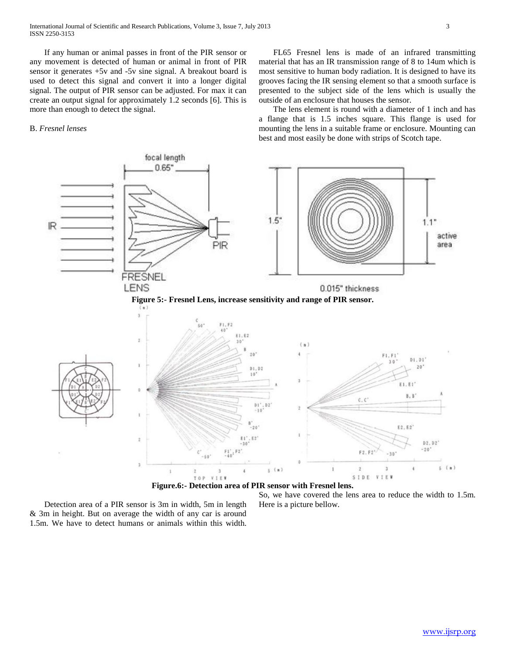If any human or animal passes in front of the PIR sensor or any movement is detected of human or animal in front of PIR sensor it generates +5v and -5v sine signal. A breakout board is used to detect this signal and convert it into a longer digital signal. The output of PIR sensor can be adjusted. For max it can create an output signal for approximately 1.2 seconds [6]. This is more than enough to detect the signal.

## B. *Fresnel lenses*

 FL65 Fresnel lens is made of an infrared transmitting material that has an IR transmission range of 8 to 14um which is most sensitive to human body radiation. It is designed to have its grooves facing the IR sensing element so that a smooth surface is presented to the subject side of the lens which is usually the outside of an enclosure that houses the sensor.

 The lens element is round with a diameter of 1 inch and has a flange that is 1.5 inches square. This flange is used for mounting the lens in a suitable frame or enclosure. Mounting can best and most easily be done with strips of Scotch tape.



 Detection area of a PIR sensor is 3m in width, 5m in length & 3m in height. But on average the width of any car is around 1.5m. We have to detect humans or animals within this width.

So, we have covered the lens area to reduce the width to 1.5m. Here is a picture bellow.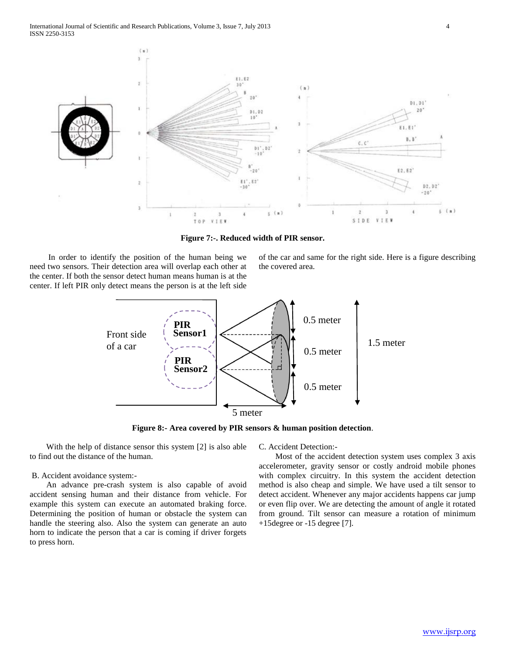

**Figure 7:-. Reduced width of PIR sensor.**

 In order to identify the position of the human being we need two sensors. Their detection area will overlap each other at the center. If both the sensor detect human means human is at the center. If left PIR only detect means the person is at the left side

of the car and same for the right side. Here is a figure describing the covered area.



**Figure 8:- Area covered by PIR sensors & human position detection**.

 With the help of distance sensor this system [2] is also able to find out the distance of the human.

#### B. Accident avoidance system:-

 An advance pre-crash system is also capable of avoid accident sensing human and their distance from vehicle. For example this system can execute an automated braking force. Determining the position of human or obstacle the system can handle the steering also. Also the system can generate an auto horn to indicate the person that a car is coming if driver forgets to press horn.

C. Accident Detection:-

 Most of the accident detection system uses complex 3 axis accelerometer, gravity sensor or costly android mobile phones with complex circuitry. In this system the accident detection method is also cheap and simple. We have used a tilt sensor to detect accident. Whenever any major accidents happens car jump or even flip over. We are detecting the amount of angle it rotated from ground. Tilt sensor can measure a rotation of minimum +15degree or -15 degree [7].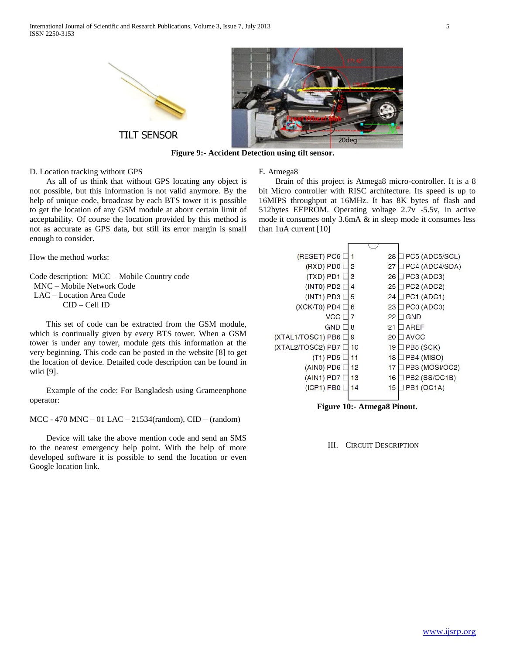



**Figure 9:- Accident Detection using tilt sensor.**

## D. Location tracking without GPS

 As all of us think that without GPS locating any object is not possible, but this information is not valid anymore. By the help of unique code, broadcast by each BTS tower it is possible to get the location of any GSM module at about certain limit of acceptability. Of course the location provided by this method is not as accurate as GPS data, but still its error margin is small enough to consider.

How the method works:

Code description: MCC – Mobile Country code MNC – Mobile Network Code LAC – Location Area Code CID – Cell ID

 This set of code can be extracted from the GSM module, which is continually given by every BTS tower. When a GSM tower is under any tower, module gets this information at the very beginning. This code can be posted in the website [8] to get the location of device. Detailed code description can be found in wiki [9].

 Example of the code: For Bangladesh using Grameenphone operator:

MCC - 470 MNC – 01 LAC – 21534(random), CID – (random)

 Device will take the above mention code and send an SMS to the nearest emergency help point. With the help of more developed software it is possible to send the location or even Google location link.

#### E. Atmega8

 Brain of this project is Atmega8 micro-controller. It is a 8 bit Micro controller with RISC architecture. Its speed is up to 16MIPS throughput at 16MHz. It has 8K bytes of flash and 512bytes EEPROM. Operating voltage 2.7v -5.5v, in active mode it consumes only 3.6mA & in sleep mode it consumes less than 1uA current [10]

| (RESET) PC6         |    | 28 | PC5 (ADC5/SCL) |
|---------------------|----|----|----------------|
| (RXD) PD0 [         | 2  | 27 | PC4 (ADC4/SDA) |
| $(TXD)$ PD1 [       | 3  | 26 | PC3 (ADC3)     |
| $(INT0)$ PD2 [      | 4  | 25 | PC2 (ADC2)     |
| $(INT1)$ PD3 [      | 5  | 24 | PC1 (ADC1)     |
| (XCK/T0) PD4 [      | 6  | 23 | PC0 (ADC0)     |
| <b>VCC</b>          | 7  | 22 | <b>GND</b>     |
| <b>GND</b>          | 8  | 21 | <b>AREF</b>    |
| (XTAL1/TOSC1) PB6 [ | 9  | 20 | <b>AVCC</b>    |
| (XTAL2/TOSC2) PB7   | 10 | 19 | PB5 (SCK)      |
| $(T1)$ PD5 [        | 11 | 18 | PB4 (MISO)     |
| $(AINO)$ PD6        | 12 | 17 | PB3 (MOSI/OC2) |
| $(AIN1)$ PD7        | 13 | 16 | PB2 (SS/OC1B)  |
| $(ICP1)$ PB0        | 14 | 15 | PB1 (OC1A)     |
|                     |    |    |                |

**Figure 10:- Atmega8 Pinout.**

#### III. CIRCUIT DESCRIPTION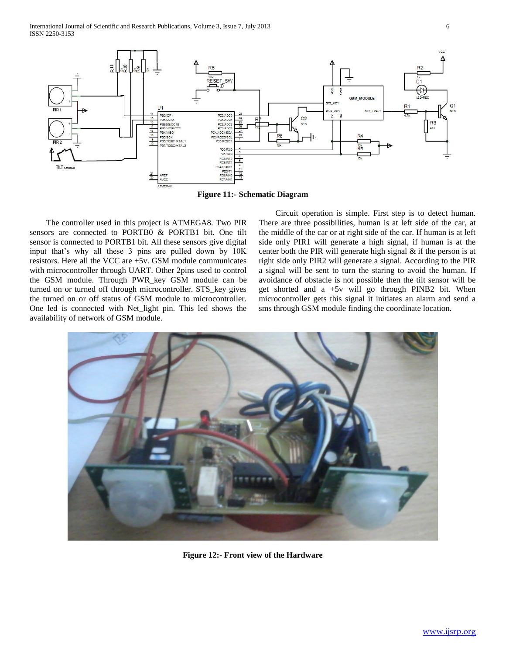

**Figure 11:- Schematic Diagram**

 The controller used in this project is ATMEGA8. Two PIR sensors are connected to PORTB0 & PORTB1 bit. One tilt sensor is connected to PORTB1 bit. All these sensors give digital input that's why all these 3 pins are pulled down by 10K resistors. Here all the VCC are +5v. GSM module communicates with microcontroller through UART. Other 2pins used to control the GSM module. Through PWR\_key GSM module can be turned on or turned off through microcontroller. STS\_key gives the turned on or off status of GSM module to microcontroller. One led is connected with Net\_light pin. This led shows the availability of network of GSM module.

 Circuit operation is simple. First step is to detect human. There are three possibilities, human is at left side of the car, at the middle of the car or at right side of the car. If human is at left side only PIR1 will generate a high signal, if human is at the center both the PIR will generate high signal & if the person is at right side only PIR2 will generate a signal. According to the PIR a signal will be sent to turn the staring to avoid the human. If avoidance of obstacle is not possible then the tilt sensor will be get shorted and a +5v will go through PINB2 bit. When microcontroller gets this signal it initiates an alarm and send a sms through GSM module finding the coordinate location.



**Figure 12:- Front view of the Hardware**